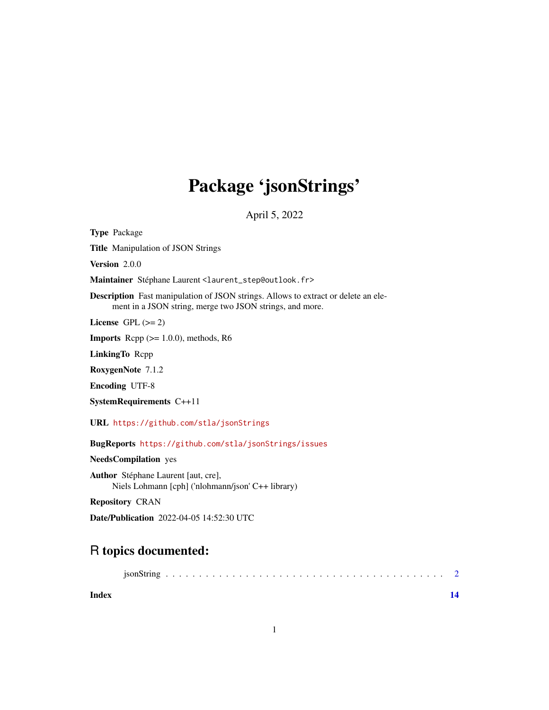# Package 'jsonStrings'

April 5, 2022

Type Package Title Manipulation of JSON Strings Version 2.0.0 Maintainer Stéphane Laurent <laurent\_step@outlook.fr> Description Fast manipulation of JSON strings. Allows to extract or delete an element in a JSON string, merge two JSON strings, and more. License GPL  $(>= 2)$ **Imports** Rcpp  $(>= 1.0.0)$ , methods, R6 LinkingTo Rcpp RoxygenNote 7.1.2 Encoding UTF-8 SystemRequirements C++11 URL <https://github.com/stla/jsonStrings> BugReports <https://github.com/stla/jsonStrings/issues> NeedsCompilation yes Author Stéphane Laurent [aut, cre], Niels Lohmann [cph] ('nlohmann/json' C++ library) Repository CRAN Date/Publication 2022-04-05 14:52:30 UTC

# R topics documented:

**Index** 2008 **[14](#page-13-0)**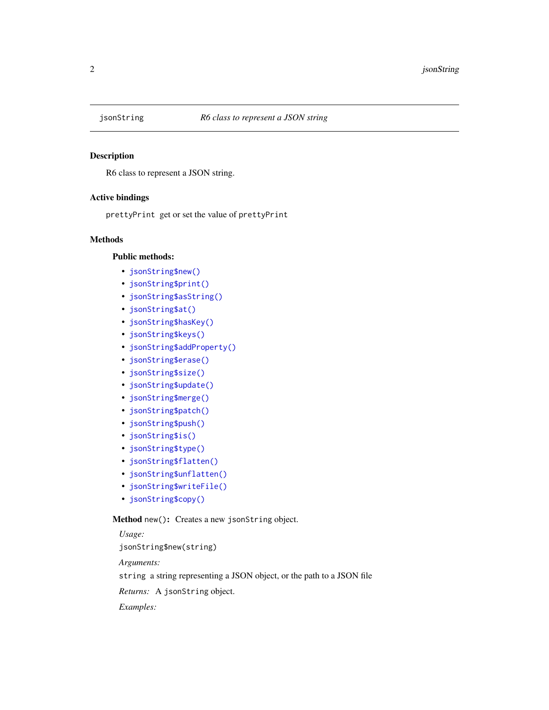<span id="page-1-0"></span>

#### Description

R6 class to represent a JSON string.

#### Active bindings

prettyPrint get or set the value of prettyPrint

#### Methods

### Public methods:

- [jsonString\\$new\(\)](#page-1-1)
- [jsonString\\$print\(\)](#page-2-0)
- [jsonString\\$asString\(\)](#page-2-1)
- [jsonString\\$at\(\)](#page-2-2)
- [jsonString\\$hasKey\(\)](#page-3-0)
- [jsonString\\$keys\(\)](#page-3-1)
- [jsonString\\$addProperty\(\)](#page-3-2)
- [jsonString\\$erase\(\)](#page-4-0)
- [jsonString\\$size\(\)](#page-4-1)
- [jsonString\\$update\(\)](#page-4-2)
- [jsonString\\$merge\(\)](#page-5-0)
- [jsonString\\$patch\(\)](#page-5-1)
- [jsonString\\$push\(\)](#page-5-2)
- [jsonString\\$is\(\)](#page-6-0)
- [jsonString\\$type\(\)](#page-6-1)
- [jsonString\\$flatten\(\)](#page-6-2)
- [jsonString\\$unflatten\(\)](#page-7-0)
- [jsonString\\$writeFile\(\)](#page-7-1)
- [jsonString\\$copy\(\)](#page-7-2)

#### <span id="page-1-1"></span>Method new(): Creates a new jsonString object.

*Usage:* jsonString\$new(string) *Arguments:* string a string representing a JSON object, or the path to a JSON file *Returns:* A jsonString object. *Examples:*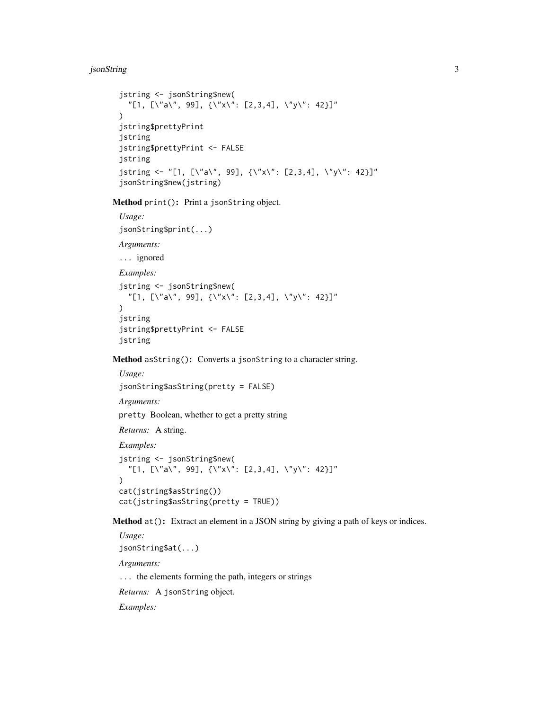```
jstring <- jsonString$new(
  "[1, [\"a\", 99], {\"x\": [2,3,4], \"y\": 42}]"
\sum_{i=1}^{n}jstring$prettyPrint
jstring
jstring$prettyPrint <- FALSE
jstring
jstring <- "[1, [\"a\", 99], {\"x\": [2,3,4], \"y\": 42}]"
jsonString$new(jstring)
```
<span id="page-2-0"></span>Method print(): Print a jsonString object.

```
Usage:
jsonString$print(...)
Arguments:
... ignored
Examples:
jstring <- jsonString$new(
  "[1, [\"a\", 99], {\"x\": [2,3,4], \"y\": 42}]"
\lambdajstring
jstring$prettyPrint <- FALSE
jstring
```
<span id="page-2-1"></span>Method asString(): Converts a jsonString to a character string.

```
Usage:
jsonString$asString(pretty = FALSE)
Arguments:
pretty Boolean, whether to get a pretty string
Returns: A string.
Examples:
jstring <- jsonString$new(
  "[1, [\"a\", 99], {\"x\": [2,3,4], \"y\": 42}]"
)
cat(jstring$asString())
cat(jstring$asString(pretty = TRUE))
```
<span id="page-2-2"></span>Method at(): Extract an element in a JSON string by giving a path of keys or indices.

*Usage:* jsonString\$at(...) *Arguments:* ... the elements forming the path, integers or strings *Returns:* A jsonString object.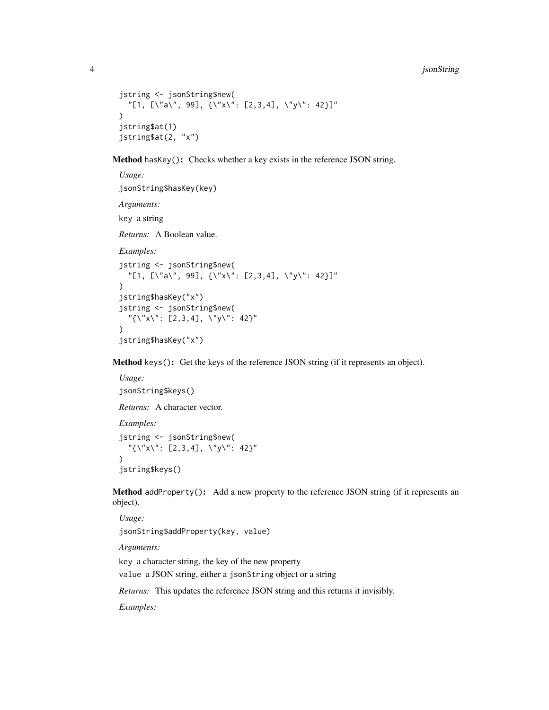```
jstring <- jsonString$new(
  "[1, [\"a\", 99], {\"x\": [2,3,4], \"y\": 42}]"
\lambdajstring$at(1)
jstring$at(2, "x")
```
<span id="page-3-0"></span>Method hasKey(): Checks whether a key exists in the reference JSON string.

```
Usage:
jsonString$hasKey(key)
Arguments:
key a string
Returns: A Boolean value.
Examples:
jstring <- jsonString$new(
  "[1, [\"a\", 99], {\"x\": [2,3,4], \"y\": 42}]"
\lambdajstring$hasKey("x")
jstring <- jsonString$new(
  "{\{\ }"x\}'': [2,3,4], \ '''y\}'': 42\}'\lambda
```
jstring\$hasKey("x")

<span id="page-3-1"></span>Method keys(): Get the keys of the reference JSON string (if it represents an object).

```
Usage:
jsonString$keys()
Returns: A character vector.
Examples:
jstring <- jsonString$new(
  "{\{\ \ }''x{\}'': [2,3,4], \ {\\ }''y{\}'': 42\}")
jstring$keys()
```
<span id="page-3-2"></span>Method addProperty(): Add a new property to the reference JSON string (if it represents an object).

*Usage:* jsonString\$addProperty(key, value) *Arguments:* key a character string, the key of the new property value a JSON string, either a jsonString object or a string

*Returns:* This updates the reference JSON string and this returns it invisibly.

*Examples:*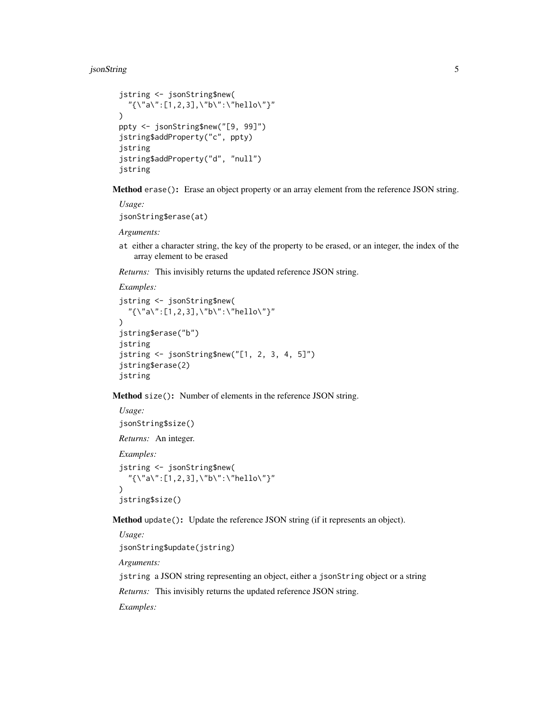```
jstring <- jsonString$new(
  "\{\\\n^n\in [1,2,3],\n\|"\text{b}\n\|"\cdot\|\text{hello}\n\}''\sum_{i=1}^{n}ppty <- jsonString$new("[9, 99]")
jstring$addProperty("c", ppty)
jstring
jstring$addProperty("d", "null")
jstring
```
<span id="page-4-0"></span>Method erase(): Erase an object property or an array element from the reference JSON string.

*Usage:* jsonString\$erase(at)

*Arguments:*

at either a character string, the key of the property to be erased, or an integer, the index of the array element to be erased

*Returns:* This invisibly returns the updated reference JSON string.

*Examples:*

```
jstring <- jsonString$new(
  "\{\\a\}' : [1,2,3],\\b'\b\}' : \{\n"hello\" \}"\lambdajstring$erase("b")
jstring
jstring <- jsonString$new("[1, 2, 3, 4, 5]")
jstring$erase(2)
jstring
```
<span id="page-4-1"></span>Method size(): Number of elements in the reference JSON string.

```
Usage:
jsonString$size()
Returns: An integer.
Examples:
jstring <- jsonString$new(
  "\{\\a\}' : [1,2,3],\\b'\b\}' : \{\n"hello\" \}")
jstring$size()
```
<span id="page-4-2"></span>Method update(): Update the reference JSON string (if it represents an object).

*Usage:* jsonString\$update(jstring)

*Arguments:*

jstring a JSON string representing an object, either a jsonString object or a string

*Returns:* This invisibly returns the updated reference JSON string.

*Examples:*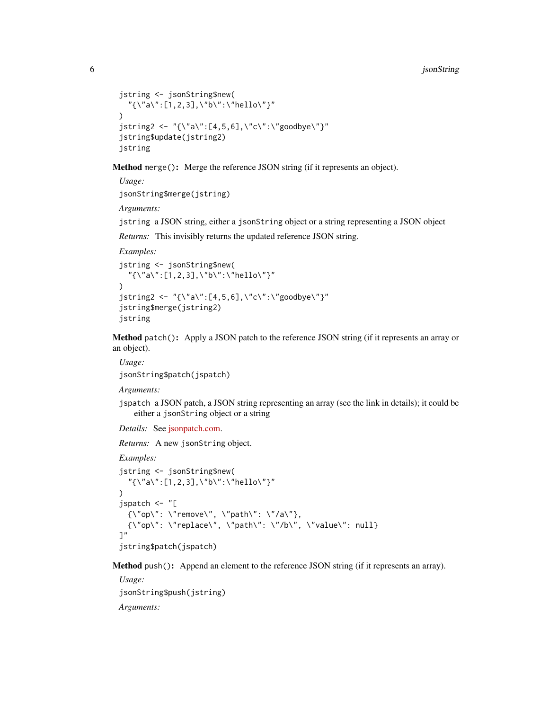```
jstring <- jsonString$new(
  "\{\\a\}' : [1,2,3],\\b'\b\'\colon\hbox{^\prime} hello\b''\lambdajstring2 <- "{\"a\":[4,5,6],\"c\":\"goodbye\"}"
jstring$update(jstring2)
jstring
```
<span id="page-5-0"></span>Method merge(): Merge the reference JSON string (if it represents an object).

*Usage:*

jsonString\$merge(jstring)

*Arguments:*

jstring a JSON string, either a jsonString object or a string representing a JSON object

*Returns:* This invisibly returns the updated reference JSON string.

*Examples:*

```
jstring <- jsonString$new(
  "\{\\a\}' : [1,2,3],\\b'\b\}' : \{\n"hello\" \}")
jstring2 <- "{\"a\":[4,5,6],\"c\":\"goodbye\"}"
jstring$merge(jstring2)
jstring
```
<span id="page-5-1"></span>Method patch(): Apply a JSON patch to the reference JSON string (if it represents an array or an object).

*Usage:* jsonString\$patch(jspatch)

*Arguments:*

jspatch a JSON patch, a JSON string representing an array (see the link in details); it could be either a jsonString object or a string

*Details:* See [jsonpatch.com.](http://jsonpatch.com/)

*Returns:* A new jsonString object.

*Examples:*

```
jstring <- jsonString$new(
  "\{\ \right\}'' a\":[1,2,3], \"b\":\"hello\"}"
\lambdajspatch <- "[
  {\"op\": \"remove\", \"path\": \"/a\"},
  {\{\n \vee\n \neg \phi\}\n \vee\n \vee\n \neg \phi\}\n \vee\n \vee\n \neg \phi\\mathbb{I}''jstring$patch(jspatch)
```
<span id="page-5-2"></span>Method push(): Append an element to the reference JSON string (if it represents an array).

*Usage:* jsonString\$push(jstring) *Arguments:*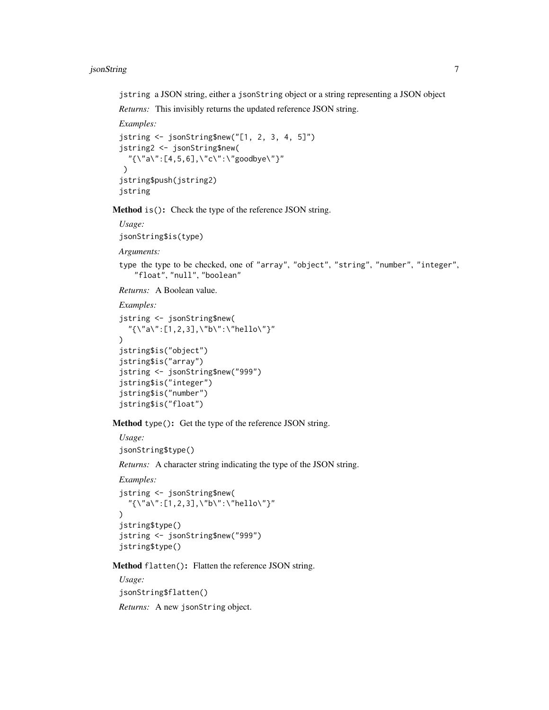jstring a JSON string, either a jsonString object or a string representing a JSON object

*Returns:* This invisibly returns the updated reference JSON string.

```
Examples:
jstring <- jsonString$new("[1, 2, 3, 4, 5]")
jstring2 <- jsonString$new(
  "\{\\\"a\\\":[4,5,6],\\\"c\\\":\\\"goodbye\\\"]')
jstring$push(jstring2)
jstring
```
<span id="page-6-0"></span>Method is(): Check the type of the reference JSON string.

*Usage:*

jsonString\$is(type)

*Arguments:*

```
type the type to be checked, one of "array", "object", "string", "number", "integer",
   "float", "null", "boolean"
```
*Returns:* A Boolean value.

*Examples:*

```
jstring <- jsonString$new(
  "{\mathcal{N}} a\":[1,2,3],\"b\":\"hello\"}"
)
jstring$is("object")
jstring$is("array")
jstring <- jsonString$new("999")
jstring$is("integer")
jstring$is("number")
jstring$is("float")
```
<span id="page-6-1"></span>Method type(): Get the type of the reference JSON string.

*Usage:* jsonString\$type()

*Returns:* A character string indicating the type of the JSON string.

*Examples:*

```
jstring <- jsonString$new(
  "\{\ \right\}'' a\":[1,2,3], \"b\":\"hello\"}"
\lambdajstring$type()
jstring <- jsonString$new("999")
jstring$type()
```
<span id="page-6-2"></span>Method flatten(): Flatten the reference JSON string.

*Usage:* jsonString\$flatten() *Returns:* A new jsonString object.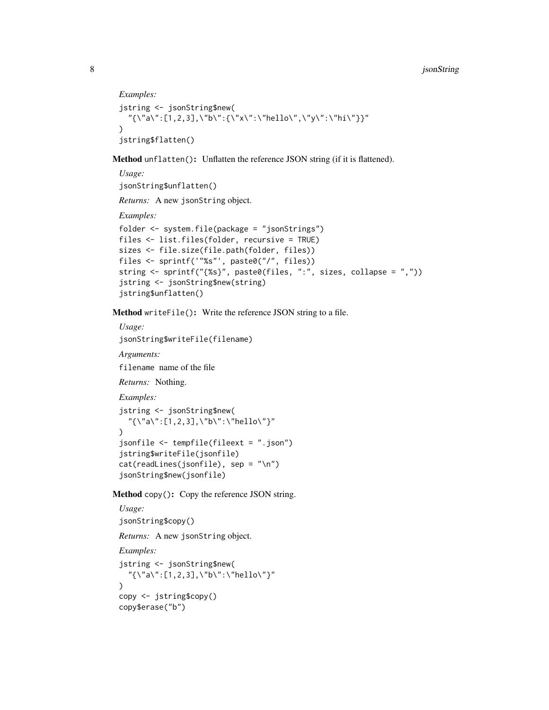```
Examples:
jstring <- jsonString$new(
  "{\"a\":[1,2,3],\"b\":{\"x\":\"hello\",\"y\":\"hi\"}}"
)
jstring$flatten()
```
<span id="page-7-0"></span>Method unflatten(): Unflatten the reference JSON string (if it is flattened).

*Usage:* jsonString\$unflatten()

*Returns:* A new jsonString object.

*Examples:*

```
folder <- system.file(package = "jsonStrings")
files <- list.files(folder, recursive = TRUE)
sizes <- file.size(file.path(folder, files))
files <- sprintf('"%s"', paste0("/", files))
string <- sprintf("{%s}", paste0(files, ":", sizes, collapse = ","))
jstring <- jsonString$new(string)
jstring$unflatten()
```
<span id="page-7-1"></span>Method writeFile(): Write the reference JSON string to a file.

```
Usage:
jsonString$writeFile(filename)
Arguments:
filename name of the file
Returns: Nothing.
Examples:
jstring <- jsonString$new(
  "\{\ \right\}'' a\":[1,2,3], \"b\":\"hello\"}"
\lambdajsonfile <- tempfile(fileext = ".json")
jstring$writeFile(jsonfile)
cat(readLines(jsonfile), sep = "\n")
jsonString$new(jsonfile)
```
<span id="page-7-2"></span>Method copy(): Copy the reference JSON string.

```
Usage:
jsonString$copy()
Returns: A new jsonString object.
Examples:
jstring <- jsonString$new(
  "\{\\\n^n\}:[1,2,3],\verb|b\\":\verb|v|"hello\verb|v|)
copy <- jstring$copy()
copy$erase("b")
```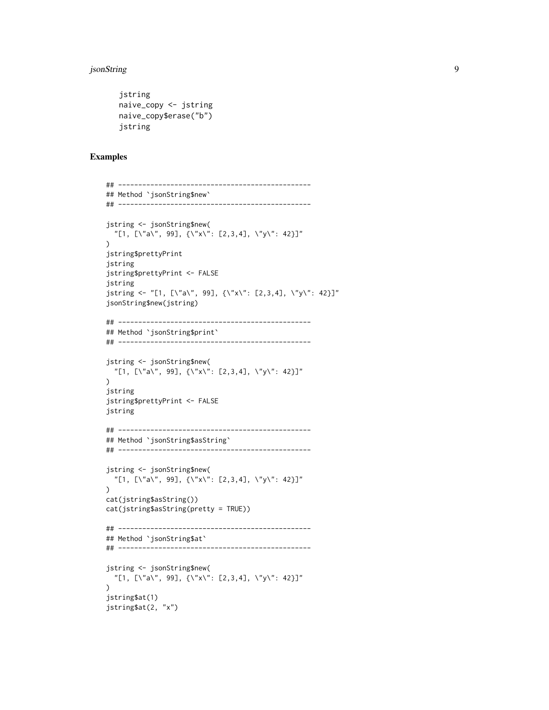```
jstring
naive_copy <- jstring
naive_copy$erase("b")
jstring
```
#### Examples

```
## ------------------------------------------------
## Method `jsonString$new`
## ------------------------------------------------
jstring <- jsonString$new(
  "[1, [\"a\", 99], {\"x\": [2,3,4], \"y\": 42}]"
\lambdajstring$prettyPrint
jstring
jstring$prettyPrint <- FALSE
jstring
jstring <- "[1, [\"a\", 99], {\"x\": [2,3,4], \"y\": 42}]"
jsonString$new(jstring)
## ------------------------------------------------
## Method `jsonString$print`
## ------------------------------------------------
jstring <- jsonString$new(
  "[1, [\ \rangle"a\", 99], \{\ \rangle"x\": [2,3,4], \ \rangle"\lor": 42}]"
\lambdajstring
jstring$prettyPrint <- FALSE
jstring
## ------------------------------------------------
## Method `jsonString$asString`
## ------------------------------------------------
jstring <- jsonString$new(
  "[1, [\"a\", 99], {\"x\": [2,3,4], \"y\": 42}]"
\lambdacat(jstring$asString())
cat(jstring$asString(pretty = TRUE))
## ------------------------------------------------
## Method `jsonString$at`
## ------------------------------------------------
jstring <- jsonString$new(
  "[1, [\"a\", 99], {\"x\": [2,3,4], \"y\": 42}]"
\lambdajstring$at(1)
jstring$at(2, "x")
```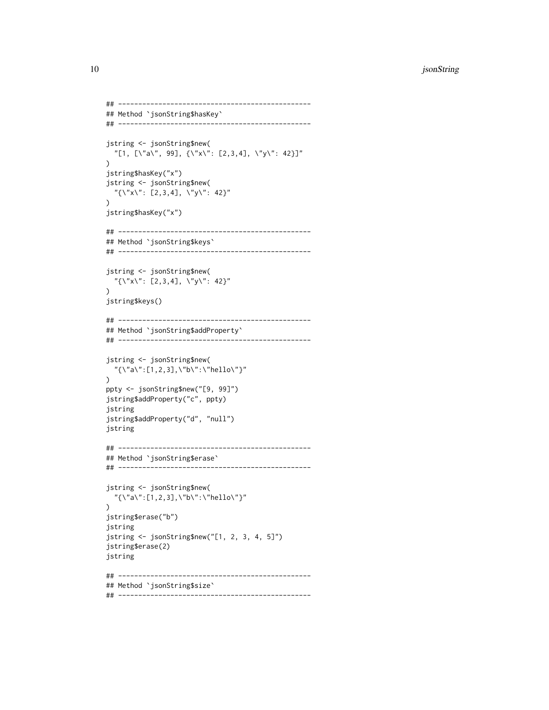```
## ------------------------------------------------
## Method `jsonString$hasKey`
## ------------------------------------------------
jstring <- jsonString$new(
  "[1, [\"a\", 99], {\"x\": [2,3,4], \"y\": 42}]"
\mathcal{L}jstring$hasKey("x")
jstring <- jsonString$new(
  "{\"x\": [2,3,4], \"y\": 42}"
\lambdajstring$hasKey("x")
## ------------------------------------------------
## Method `jsonString$keys`
## ------------------------------------------------
jstring <- jsonString$new(
  "\{\ \^n x\ \^n : \ [2,3,4], \ \^n y\ \^n : \ 42\}"
)
jstring$keys()
## ------------------------------------------------
## Method `jsonString$addProperty`
## ------------------------------------------------
jstring <- jsonString$new(
  "\{\\a\}' : [1,2,3],\\b'\b\}' : \{\n"hello"\}\mathcal{L}ppty <- jsonString$new("[9, 99]")
jstring$addProperty("c", ppty)
jstring
jstring$addProperty("d", "null")
jstring
## ------------------------------------------------
## Method `jsonString$erase`
## ------------------------------------------------
jstring <- jsonString$new(
  "\{\\\n^n\}: [1,2,3],\n\"\nb\n"\colon\'\nhello\n"\}''\mathcal{L}jstring$erase("b")
jstring
jstring <- jsonString$new("[1, 2, 3, 4, 5]")
jstring$erase(2)
jstring
## ------------------------------------------------
## Method `jsonString$size`
## ------------------------------------------------
```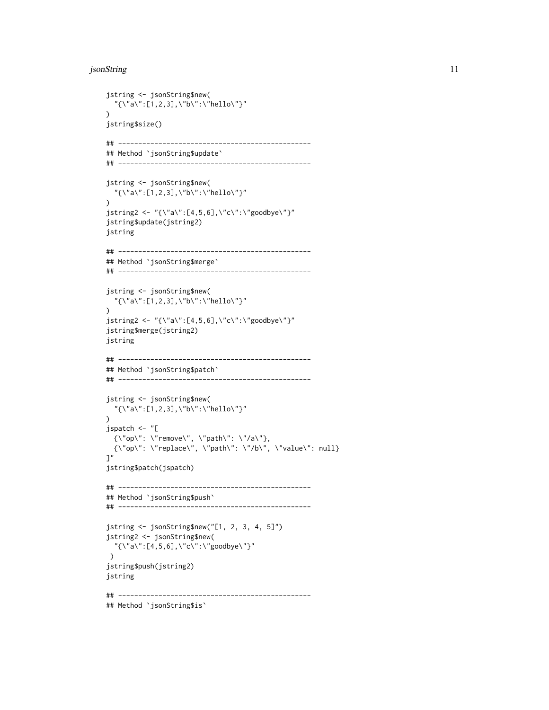```
jstring <- jsonString$new(
  "\{\\\n^n\}: [1,2,3],\n\text{'b}\n':\n\text{'hello}\n''\}''\mathcal{L}jstring$size()
## ------------------------------------------------
## Method `jsonString$update`
## ------------------------------------------------
jstring <- jsonString$new(
   "\{\\a\}' : [1,2,3],\\b'\b\}' : \{\text{hello}\''\}\lambdajstring2 <- "{\"a\":[4,5,6],\"c\":\"goodbye\"}"
jstring$update(jstring2)
jstring
## ------------------------------------------------
## Method `jsonString$merge`
## ------------------------------------------------
jstring <- jsonString$new(
   "\{\\n^na\'':[1,2,3],\\n^nb\'':\n^nhello\''\}''\lambdajstring2 <- "{\"a\":[4,5,6],\"c\":\"goodbye\"}"
jstring$merge(jstring2)
jstring
## ------------------------------------------------
## Method `jsonString$patch`
## ------------------------------------------------
jstring <- jsonString$new(
  "\{\\n^na\}':[1,2,3],\\verb|||'b\'\|:\verb|||'hello\'|"\}'')
jspatch \leq "[
  {\"op\": \"remove\", \"path\": \"/a\"},
  {\{\n \vee \text{op}\nolimits\nolimits\}'' : \{\n \vee \text{replace}\n \vee \text{op}\nolimits\nolimits', \ \ \text{op} \vee \text{op}\nolimits \vee'': \ \ \text{op} \vee \text{op}\nolimits \vee'': \ \ \text{op} \vee \text{op} \vee'': \ \text{op} \vee \text{op} \vee'': \ \text{op} \vee \text{op} \vee \text{op} \vee \text{op} \vee'': \ \text{op} \vee \text{op} \vee \text{op} \vee \text{op} \vee \text{op} \vee \text{op} \vee \text{\mathbb{R}^njstring$patch(jspatch)
## ------------------------------------------------
## Method `jsonString$push`
## ------------------------------------------------
jstring <- jsonString$new("[1, 2, 3, 4, 5]")
jstring2 <- jsonString$new(
  "\{\\\"a\\\":\[4,5,6\],\\\verb|"\"c\\\":\verb|"\"goodbye\\\"]"\lambdajstring$push(jstring2)
jstring
## ------------------------------------------------
## Method `jsonString$is`
```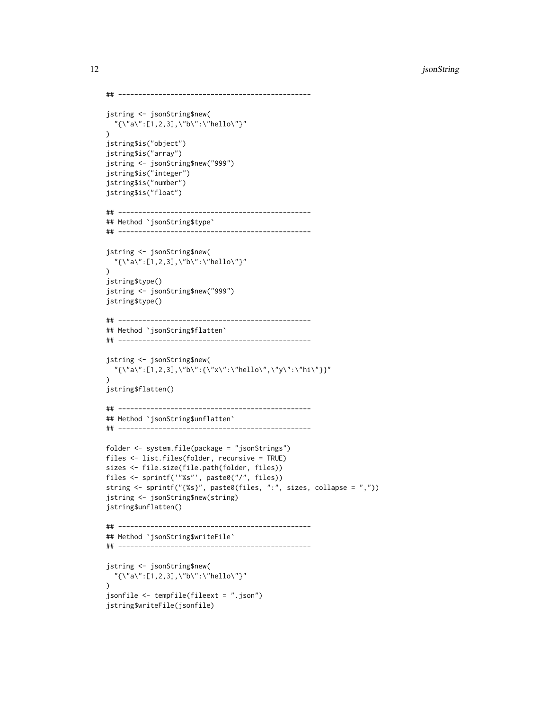```
## ------------------------------------------------
jstring <- jsonString$new(
  "\{\\\n^n\in [1,2,3],\n\}'':\"hello\"}"
)
jstring$is("object")
jstring$is("array")
jstring <- jsonString$new("999")
jstring$is("integer")
jstring$is("number")
jstring$is("float")
## ------------------------------------------------
## Method `jsonString$type`
## ------------------------------------------------
jstring <- jsonString$new(
  "\{\\a\}':[1,2,3],\{\b\}'':\{\nabla\}\))
jstring$type()
jstring <- jsonString$new("999")
jstring$type()
## ------------------------------------------------
## Method `jsonString$flatten`
## ------------------------------------------------
jstring <- jsonString$new(
  "\{\`a\`a\`r: [1,2,3],\`b\`r::{\`r\`a\`r:}\`hello\`r,\`y\`r:`\`hii\`r}\}"\lambdajstring$flatten()
## ------------------------------------------------
## Method `jsonString$unflatten`
## ------------------------------------------------
folder <- system.file(package = "jsonStrings")
files <- list.files(folder, recursive = TRUE)
sizes <- file.size(file.path(folder, files))
files <- sprintf('"%s"', paste0("/", files))
string <- sprintf("{%s}", paste0(files, ":", sizes, collapse = ","))
jstring <- jsonString$new(string)
jstring$unflatten()
## ------------------------------------------------
## Method `jsonString$writeFile`
## ------------------------------------------------
jstring <- jsonString$new(
  "\{\\\n^n\}: [1,2,3],\n\text{'b}\n'':\n'\text{'hello}\n'')
jsonfile <- tempfile(fileext = ".json")
jstring$writeFile(jsonfile)
```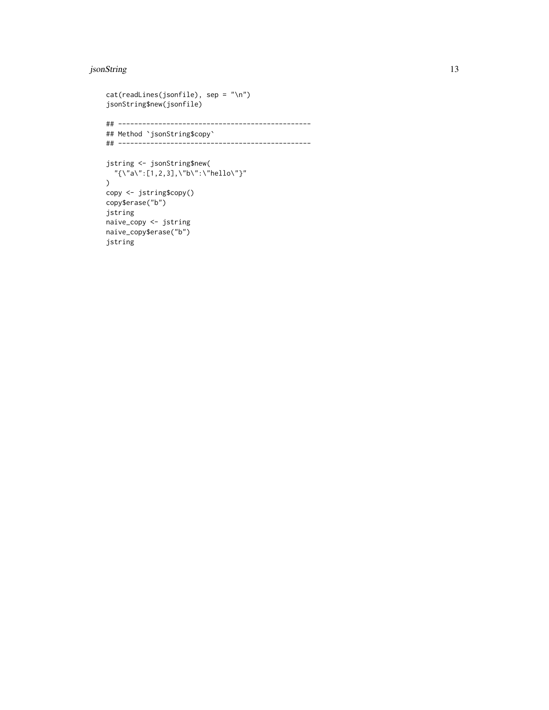```
cat(readLines(jsonfile), sep = "\n")
jsonString$new(jsonfile)
## ------------------------------------------------
## Method `jsonString$copy`
## ------------------------------------------------
jstring <- jsonString$new(
  "\{\\n"a\":\[1,2,3],\{\n"b\"\n':\{\n"hello"\}"\n\mathcal{L}copy <- jstring$copy()
copy$erase("b")
jstring
naive_copy <- jstring
naive_copy$erase("b")
jstring
```